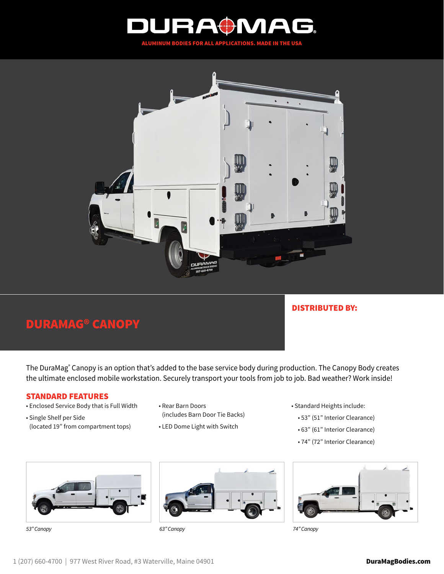



## DURAMAG® CANOPY

## DISTRIBUTED BY:

The DuraMag® Canopy is an option that's added to the base service body during production. The Canopy Body creates the ultimate enclosed mobile workstation. Securely transport your tools from job to job. Bad weather? Work inside!

## STANDARD FEATURES

- Enclosed Service Body that is Full Width
- Single Shelf per Side (located 19" from compartment tops)
- Rear Barn Doors (includes Barn Door Tie Backs)
- LED Dome Light with Switch



- 53" (51" Interior Clearance)
- 63" (61" Interior Clearance)
- 74" (72" Interior Clearance)





*53" Canopy 63" Canopy 74" Canopy*